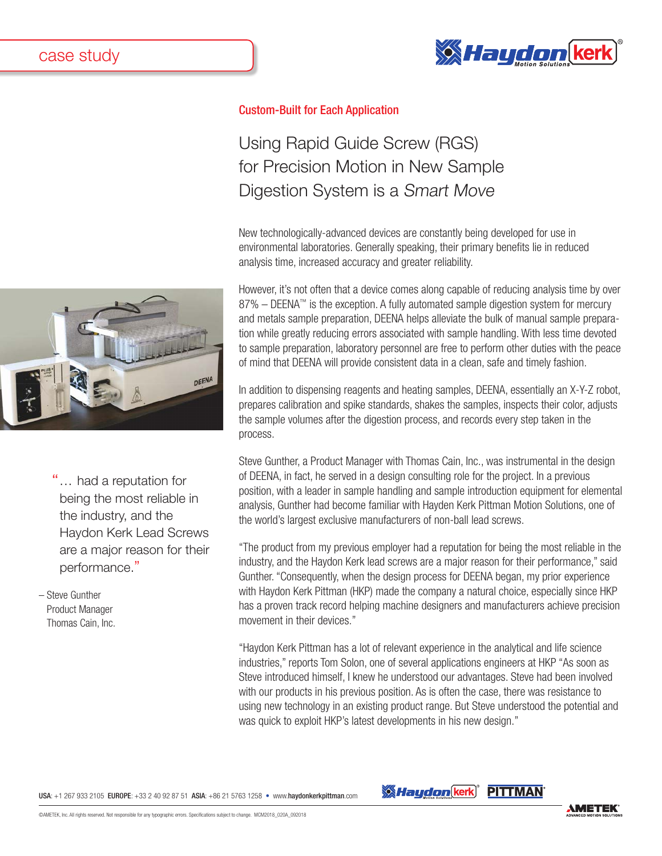



"... had a reputation for being the most reliable in the industry, and the Haydon Kerk Lead Screws are a major reason for their performance."

– Steve Gunther Product Manager Thomas Cain, Inc.

## Custom-Built for Each Application

## Using Rapid Guide Screw (RGS) for Precision Motion in New Sample Digestion System is a Smart Move

New technologically-advanced devices are constantly being developed for use in environmental laboratories. Generally speaking, their primary benefits lie in reduced analysis time, increased accuracy and greater reliability.

However, it's not often that a device comes along capable of reducing analysis time by over 87% – DEENA™ is the exception. A fully automated sample digestion system for mercury and metals sample preparation, DEENA helps alleviate the bulk of manual sample preparation while greatly reducing errors associated with sample handling. With less time devoted to sample preparation, laboratory personnel are free to perform other duties with the peace of mind that DEENA will provide consistent data in a clean, safe and timely fashion.

In addition to dispensing reagents and heating samples, DEENA, essentially an X-Y-Z robot, prepares calibration and spike standards, shakes the samples, inspects their color, adjusts the sample volumes after the digestion process, and records every step taken in the process.

Steve Gunther, a Product Manager with Thomas Cain, Inc., was instrumental in the design of DEENA, in fact, he served in a design consulting role for the project. In a previous position, with a leader in sample handling and sample introduction equipment for elemental analysis, Gunther had become familiar with Hayden Kerk Pittman Motion Solutions, one of the world's largest exclusive manufacturers of non-ball lead screws.

"The product from my previous employer had a reputation for being the most reliable in the industry, and the Haydon Kerk lead screws are a major reason for their performance," said Gunther. "Consequently, when the design process for DEENA began, my prior experience with Haydon Kerk Pittman (HKP) made the company a natural choice, especially since HKP has a proven track record helping machine designers and manufacturers achieve precision movement in their devices."

"Haydon Kerk Pittman has a lot of relevant experience in the analytical and life science industries," reports Tom Solon, one of several applications engineers at HKP "As soon as Steve introduced himself, I knew he understood our advantages. Steve had been involved with our products in his previous position. As is often the case, there was resistance to using new technology in an existing product range. But Steve understood the potential and was quick to exploit HKP's latest developments in his new design."

USA: +1 267 933 2105 EUROPE: +33 2 40 92 87 51 ASIA: +86 21 5763 1258 • www.haydonkerkpittman.com

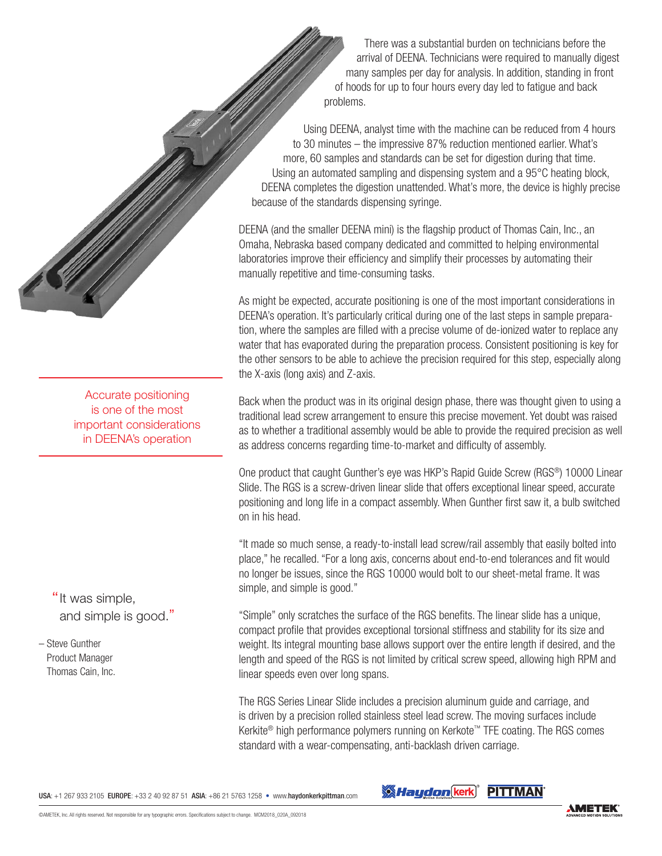There was a substantial burden on technicians before the arrival of DEENA. Technicians were required to manually digest many samples per day for analysis. In addition, standing in front of hoods for up to four hours every day led to fatigue and back problems.

Using DEENA, analyst time with the machine can be reduced from 4 hours to 30 minutes – the impressive 87% reduction mentioned earlier. What's more, 60 samples and standards can be set for digestion during that time. Using an automated sampling and dispensing system and a 95°C heating block, DEENA completes the digestion unattended. What's more, the device is highly precise because of the standards dispensing syringe.

DEENA (and the smaller DEENA mini) is the flagship product of Thomas Cain, Inc., an Omaha, Nebraska based company dedicated and committed to helping environmental laboratories improve their efficiency and simplify their processes by automating their manually repetitive and time-consuming tasks.

As might be expected, accurate positioning is one of the most important considerations in DEENA's operation. It's particularly critical during one of the last steps in sample preparation, where the samples are filled with a precise volume of de-ionized water to replace any water that has evaporated during the preparation process. Consistent positioning is key for the other sensors to be able to achieve the precision required for this step, especially along the X-axis (long axis) and Z-axis.

Back when the product was in its original design phase, there was thought given to using a traditional lead screw arrangement to ensure this precise movement. Yet doubt was raised as to whether a traditional assembly would be able to provide the required precision as well as address concerns regarding time-to-market and difficulty of assembly.

One product that caught Gunther's eye was HKP's Rapid Guide Screw (RGS®) 10000 Linear Slide. The RGS is a screw-driven linear slide that offers exceptional linear speed, accurate positioning and long life in a compact assembly. When Gunther first saw it, a bulb switched on in his head.

"It made so much sense, a ready-to-install lead screw/rail assembly that easily bolted into place," he recalled. "For a long axis, concerns about end-to-end tolerances and fit would no longer be issues, since the RGS 10000 would bolt to our sheet-metal frame. It was simple, and simple is good."

"Simple" only scratches the surface of the RGS benefits. The linear slide has a unique, compact profile that provides exceptional torsional stiffness and stability for its size and weight. Its integral mounting base allows support over the entire length if desired, and the length and speed of the RGS is not limited by critical screw speed, allowing high RPM and linear speeds even over long spans.

The RGS Series Linear Slide includes a precision aluminum guide and carriage, and is driven by a precision rolled stainless steel lead screw. The moving surfaces include Kerkite® high performance polymers running on Kerkote™ TFE coating. The RGS comes standard with a wear-compensating, anti-backlash driven carriage.

is one of the most important considerations in DEENA's operation

Accurate positioning

"It was simple, and simple is good."

– Steve Gunther Product Manager Thomas Cain, Inc.

USA: +1 267 933 2105 EUROPE: +33 2 40 92 87 51 ASIA: +86 21 5763 1258 • www.haydonkerkpittman.com

**SA Haydon** kerk<sup>®</sup> PITTMAN